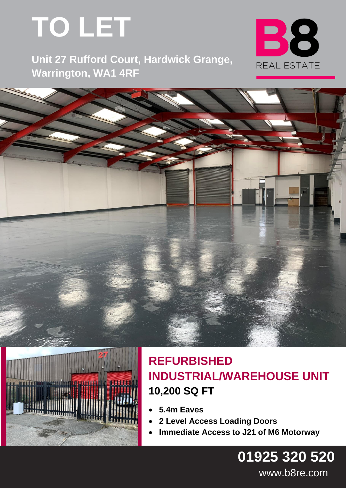# **TO LET**



### **Unit 27 Rufford Court, Hardwick Grange, Warrington, WA1 4RF**



## **REFURBISHED INDUSTRIAL/WAREHOUSE UNIT 10,200 SQ FT**

- **5.4m Eaves**
- **2 Level Access Loading Doors**
- **Immediate Access to J21 of M6 Motorway**

**01925 320 520**

www.b8re.com